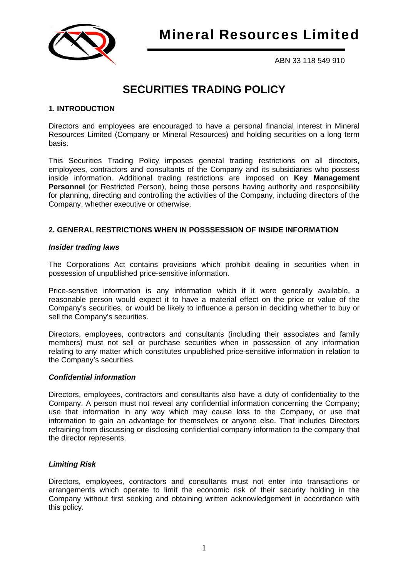

ABN 33 118 549 910

# **SECURITIES TRADING POLICY**

# **1. INTRODUCTION**

Directors and employees are encouraged to have a personal financial interest in Mineral Resources Limited (Company or Mineral Resources) and holding securities on a long term basis.

This Securities Trading Policy imposes general trading restrictions on all directors, employees, contractors and consultants of the Company and its subsidiaries who possess inside information. Additional trading restrictions are imposed on **Key Management Personnel** (or Restricted Person), being those persons having authority and responsibility for planning, directing and controlling the activities of the Company, including directors of the Company, whether executive or otherwise.

# **2. GENERAL RESTRICTIONS WHEN IN POSSSESSION OF INSIDE INFORMATION**

## *Insider trading laws*

The Corporations Act contains provisions which prohibit dealing in securities when in possession of unpublished price-sensitive information.

Price-sensitive information is any information which if it were generally available, a reasonable person would expect it to have a material effect on the price or value of the Company's securities, or would be likely to influence a person in deciding whether to buy or sell the Company's securities.

Directors, employees, contractors and consultants (including their associates and family members) must not sell or purchase securities when in possession of any information relating to any matter which constitutes unpublished price-sensitive information in relation to the Company's securities.

## *Confidential information*

Directors, employees, contractors and consultants also have a duty of confidentiality to the Company. A person must not reveal any confidential information concerning the Company; use that information in any way which may cause loss to the Company, or use that information to gain an advantage for themselves or anyone else. That includes Directors refraining from discussing or disclosing confidential company information to the company that the director represents.

## *Limiting Risk*

Directors, employees, contractors and consultants must not enter into transactions or arrangements which operate to limit the economic risk of their security holding in the Company without first seeking and obtaining written acknowledgement in accordance with this policy.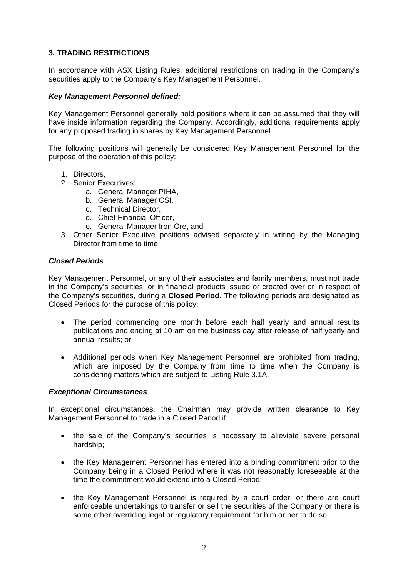# **3. TRADING RESTRICTIONS**

In accordance with ASX Listing Rules, additional restrictions on trading in the Company's securities apply to the Company's Key Management Personnel.

## *Key Management Personnel defined:*

Key Management Personnel generally hold positions where it can be assumed that they will have inside information regarding the Company. Accordingly, additional requirements apply for any proposed trading in shares by Key Management Personnel.

The following positions will generally be considered Key Management Personnel for the purpose of the operation of this policy:

- 1. Directors,
- 2. Senior Executives:
	- a. General Manager PIHA,
	- b. General Manager CSI,
	- c. Technical Director,
	- d. Chief Financial Officer,
	- e. General Manager Iron Ore, and
- 3. Other Senior Executive positions advised separately in writing by the Managing Director from time to time.

#### *Closed Periods*

Key Management Personnel, or any of their associates and family members, must not trade in the Company's securities, or in financial products issued or created over or in respect of the Company's securities, during a **Closed Period**. The following periods are designated as Closed Periods for the purpose of this policy:

- The period commencing one month before each half yearly and annual results publications and ending at 10 am on the business day after release of half yearly and annual results; or
- Additional periods when Key Management Personnel are prohibited from trading, which are imposed by the Company from time to time when the Company is considering matters which are subject to Listing Rule 3.1A.

#### *Exceptional Circumstances*

In exceptional circumstances, the Chairman may provide written clearance to Key Management Personnel to trade in a Closed Period if:

- the sale of the Company's securities is necessary to alleviate severe personal hardship;
- the Key Management Personnel has entered into a binding commitment prior to the Company being in a Closed Period where it was not reasonably foreseeable at the time the commitment would extend into a Closed Period;
- the Key Management Personnel is required by a court order, or there are court enforceable undertakings to transfer or sell the securities of the Company or there is some other overriding legal or regulatory requirement for him or her to do so;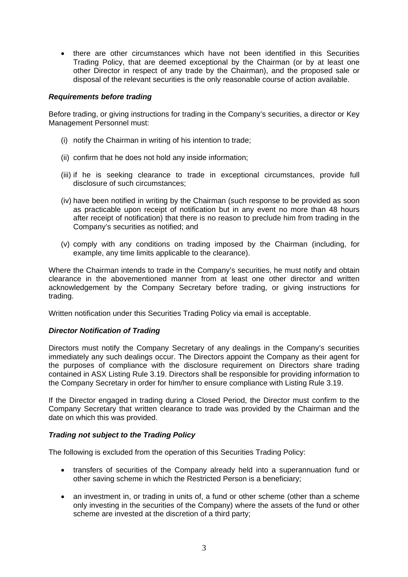• there are other circumstances which have not been identified in this Securities Trading Policy, that are deemed exceptional by the Chairman (or by at least one other Director in respect of any trade by the Chairman), and the proposed sale or disposal of the relevant securities is the only reasonable course of action available.

## *Requirements before trading*

Before trading, or giving instructions for trading in the Company's securities, a director or Key Management Personnel must:

- (i) notify the Chairman in writing of his intention to trade;
- (ii) confirm that he does not hold any inside information;
- (iii) if he is seeking clearance to trade in exceptional circumstances, provide full disclosure of such circumstances;
- (iv) have been notified in writing by the Chairman (such response to be provided as soon as practicable upon receipt of notification but in any event no more than 48 hours after receipt of notification) that there is no reason to preclude him from trading in the Company's securities as notified; and
- (v) comply with any conditions on trading imposed by the Chairman (including, for example, any time limits applicable to the clearance).

Where the Chairman intends to trade in the Company's securities, he must notify and obtain clearance in the abovementioned manner from at least one other director and written acknowledgement by the Company Secretary before trading, or giving instructions for trading.

Written notification under this Securities Trading Policy via email is acceptable.

## *Director Notification of Trading*

Directors must notify the Company Secretary of any dealings in the Company's securities immediately any such dealings occur. The Directors appoint the Company as their agent for the purposes of compliance with the disclosure requirement on Directors share trading contained in ASX Listing Rule 3.19. Directors shall be responsible for providing information to the Company Secretary in order for him/her to ensure compliance with Listing Rule 3.19.

If the Director engaged in trading during a Closed Period, the Director must confirm to the Company Secretary that written clearance to trade was provided by the Chairman and the date on which this was provided.

#### *Trading not subject to the Trading Policy*

The following is excluded from the operation of this Securities Trading Policy:

- transfers of securities of the Company already held into a superannuation fund or other saving scheme in which the Restricted Person is a beneficiary;
- an investment in, or trading in units of, a fund or other scheme (other than a scheme only investing in the securities of the Company) where the assets of the fund or other scheme are invested at the discretion of a third party;